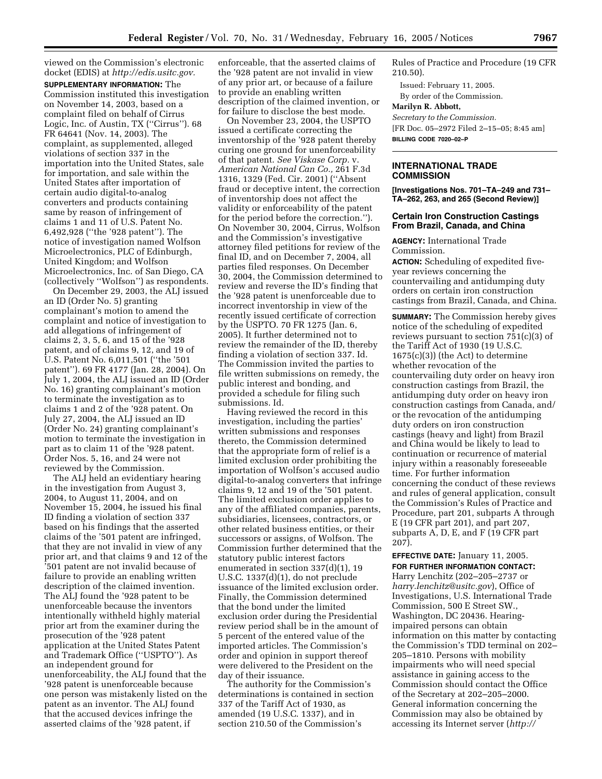viewed on the Commission's electronic docket (EDIS) at *http://edis.usitc.gov.*

**SUPPLEMENTARY INFORMATION:** The Commission instituted this investigation on November 14, 2003, based on a complaint filed on behalf of Cirrus Logic, Inc. of Austin, TX (''Cirrus''). 68 FR 64641 (Nov. 14, 2003). The complaint, as supplemented, alleged violations of section 337 in the importation into the United States, sale for importation, and sale within the United States after importation of certain audio digital-to-analog converters and products containing same by reason of infringement of claims 1 and 11 of U.S. Patent No. 6,492,928 (''the '928 patent''). The notice of investigation named Wolfson Microelectronics, PLC of Edinburgh, United Kingdom; and Wolfson Microelectronics, Inc. of San Diego, CA (collectively ''Wolfson'') as respondents.

On December 29, 2003, the ALJ issued an ID (Order No. 5) granting complainant's motion to amend the complaint and notice of investigation to add allegations of infringement of claims 2, 3, 5, 6, and 15 of the '928 patent, and of claims 9, 12, and 19 of U.S. Patent No. 6,011,501 (''the '501 patent''). 69 FR 4177 (Jan. 28, 2004). On July 1, 2004, the ALJ issued an ID (Order No. 16) granting complainant's motion to terminate the investigation as to claims 1 and 2 of the '928 patent. On July 27, 2004, the ALJ issued an ID (Order No. 24) granting complainant's motion to terminate the investigation in part as to claim 11 of the '928 patent. Order Nos. 5, 16, and 24 were not reviewed by the Commission.

The ALJ held an evidentiary hearing in the investigation from August 3, 2004, to August 11, 2004, and on November 15, 2004, he issued his final ID finding a violation of section 337 based on his findings that the asserted claims of the '501 patent are infringed, that they are not invalid in view of any prior art, and that claims 9 and 12 of the '501 patent are not invalid because of failure to provide an enabling written description of the claimed invention. The ALJ found the '928 patent to be unenforceable because the inventors intentionally withheld highly material prior art from the examiner during the prosecution of the '928 patent application at the United States Patent and Trademark Office (''USPTO''). As an independent ground for unenforceability, the ALJ found that the '928 patent is unenforceable because one person was mistakenly listed on the patent as an inventor. The ALJ found that the accused devices infringe the asserted claims of the '928 patent, if

enforceable, that the asserted claims of the '928 patent are not invalid in view of any prior art, or because of a failure to provide an enabling written description of the claimed invention, or for failure to disclose the best mode.

On November 23, 2004, the USPTO issued a certificate correcting the inventorship of the '928 patent thereby curing one ground for unenforceability of that patent. *See Viskase Corp.* v. *American National Can Co.,* 261 F.3d 1316, 1329 (Fed. Cir. 2001) (''Absent fraud or deceptive intent, the correction of inventorship does not affect the validity or enforceability of the patent for the period before the correction.''). On November 30, 2004, Cirrus, Wolfson and the Commission's investigative attorney filed petitions for review of the final ID, and on December 7, 2004, all parties filed responses. On December 30, 2004, the Commission determined to review and reverse the ID's finding that the '928 patent is unenforceable due to incorrect inventorship in view of the recently issued certificate of correction by the USPTO. 70 FR 1275 (Jan. 6, 2005). It further determined not to review the remainder of the ID, thereby finding a violation of section 337. Id. The Commission invited the parties to file written submissions on remedy, the public interest and bonding, and provided a schedule for filing such submissions. Id.

Having reviewed the record in this investigation, including the parties' written submissions and responses thereto, the Commission determined that the appropriate form of relief is a limited exclusion order prohibiting the importation of Wolfson's accused audio digital-to-analog converters that infringe claims 9, 12 and 19 of the '501 patent. The limited exclusion order applies to any of the affiliated companies, parents, subsidiaries, licensees, contractors, or other related business entities, or their successors or assigns, of Wolfson. The Commission further determined that the statutory public interest factors enumerated in section 337(d)(1), 19 U.S.C. 1337(d)(1), do not preclude issuance of the limited exclusion order. Finally, the Commission determined that the bond under the limited exclusion order during the Presidential review period shall be in the amount of 5 percent of the entered value of the imported articles. The Commission's order and opinion in support thereof were delivered to the President on the day of their issuance.

The authority for the Commission's determinations is contained in section 337 of the Tariff Act of 1930, as amended (19 U.S.C. 1337), and in section 210.50 of the Commission's

Rules of Practice and Procedure (19 CFR 210.50).

Issued: February 11, 2005.

By order of the Commission.

# **Marilyn R. Abbott,**

*Secretary to the Commission.*

[FR Doc. 05–2972 Filed 2–15–05; 8:45 am] **BILLING CODE 7020–02–P**

### **INTERNATIONAL TRADE COMMISSION**

**[Investigations Nos. 701–TA–249 and 731– TA–262, 263, and 265 (Second Review)]** 

## **Certain Iron Construction Castings From Brazil, Canada, and China**

**AGENCY:** International Trade Commission.

**ACTION:** Scheduling of expedited fiveyear reviews concerning the countervailing and antidumping duty orders on certain iron construction castings from Brazil, Canada, and China.

**SUMMARY:** The Commission hereby gives notice of the scheduling of expedited reviews pursuant to section 751(c)(3) of the Tariff Act of 1930 (19 U.S.C.  $1675(c)(3)$  (the Act) to determine whether revocation of the countervailing duty order on heavy iron construction castings from Brazil, the antidumping duty order on heavy iron construction castings from Canada, and/ or the revocation of the antidumping duty orders on iron construction castings (heavy and light) from Brazil and China would be likely to lead to continuation or recurrence of material injury within a reasonably foreseeable time. For further information concerning the conduct of these reviews and rules of general application, consult the Commission's Rules of Practice and Procedure, part 201, subparts A through E (19 CFR part 201), and part 207, subparts A, D, E, and F (19 CFR part 207).

**EFFECTIVE DATE:** January 11, 2005. **FOR FURTHER INFORMATION CONTACT:** Harry Lenchitz (202–205–2737 or *harry.lenchitz@usitc.gov*), Office of Investigations, U.S. International Trade Commission, 500 E Street SW., Washington, DC 20436. Hearingimpaired persons can obtain information on this matter by contacting the Commission's TDD terminal on 202– 205–1810. Persons with mobility impairments who will need special assistance in gaining access to the Commission should contact the Office of the Secretary at 202–205–2000. General information concerning the Commission may also be obtained by accessing its Internet server (*http://*